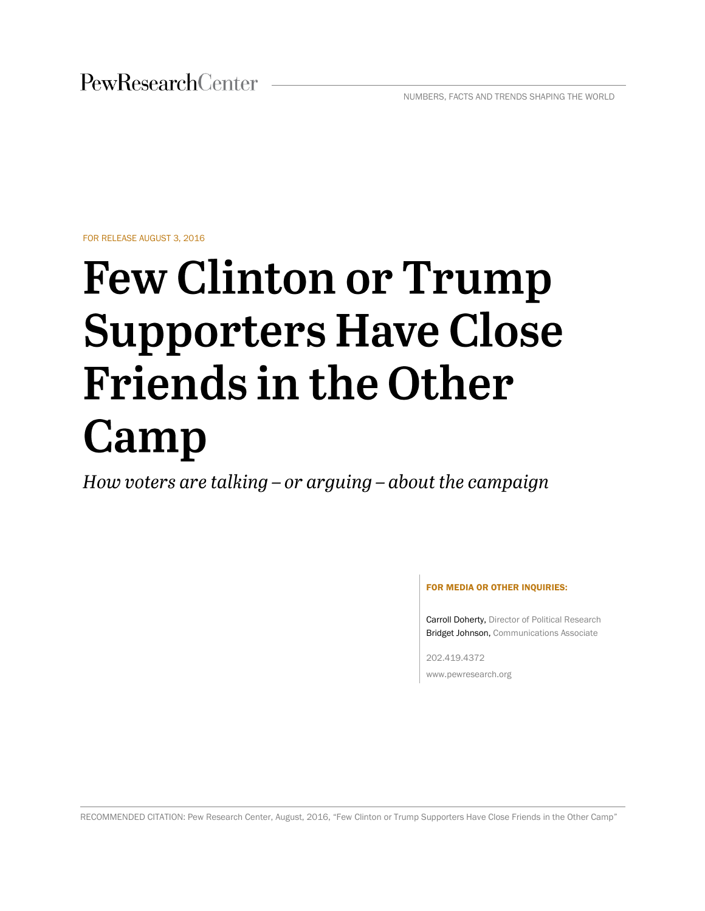FOR RELEASE AUGUST 3, 2016

# **Few Clinton or Trump Supporters Have Close Friends in the Other** Camp

How voters are talking – or arguing – about the campaign

#### FOR MEDIA OR OTHER INQUIRIES:

Carroll Doherty, Director of Political Research Bridget Johnson, Communications Associate

202.419.4372 www.pewresearch.org

RECOMMENDED CITATION: Pew Research Center, August, 2016, "Few Clinton or Trump Supporters Have Close Friends in the Other Camp"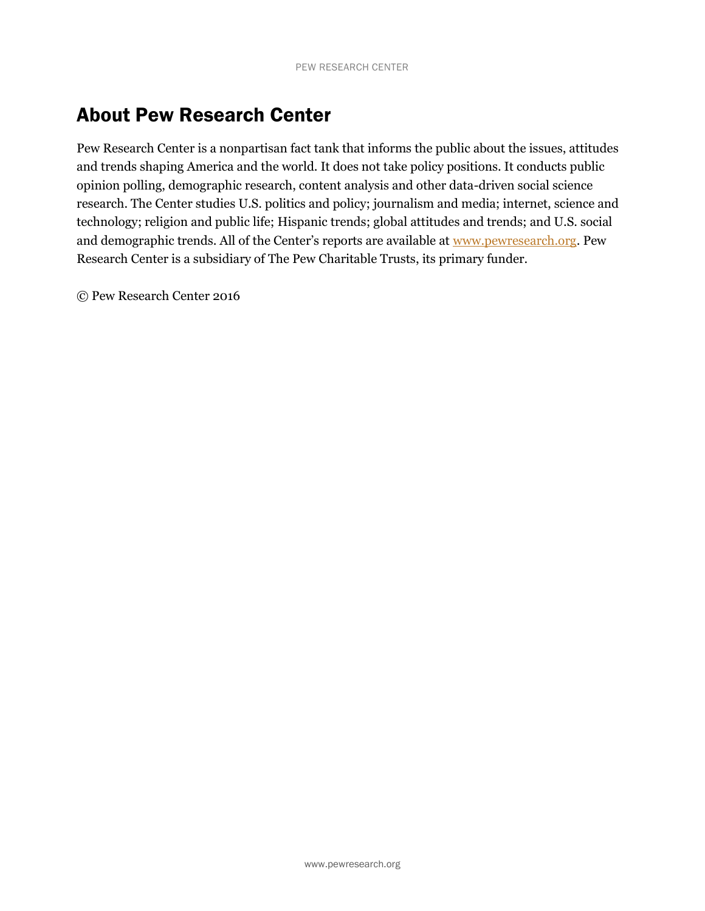# About Pew Research Center

Pew Research Center is a nonpartisan fact tank that informs the public about the issues, attitudes and trends shaping America and the world. It does not take policy positions. It conducts public opinion polling, demographic research, content analysis and other data-driven social science research. The Center studies U.S. politics and policy; journalism and media; internet, science and technology; religion and public life; Hispanic trends; global attitudes and trends; and U.S. social and demographic trends. All of the Center's reports are available at [www.pewresearch.org.](http://www.pewresearch.org/) Pew Research Center is a subsidiary of The Pew Charitable Trusts, its primary funder.

© Pew Research Center 2016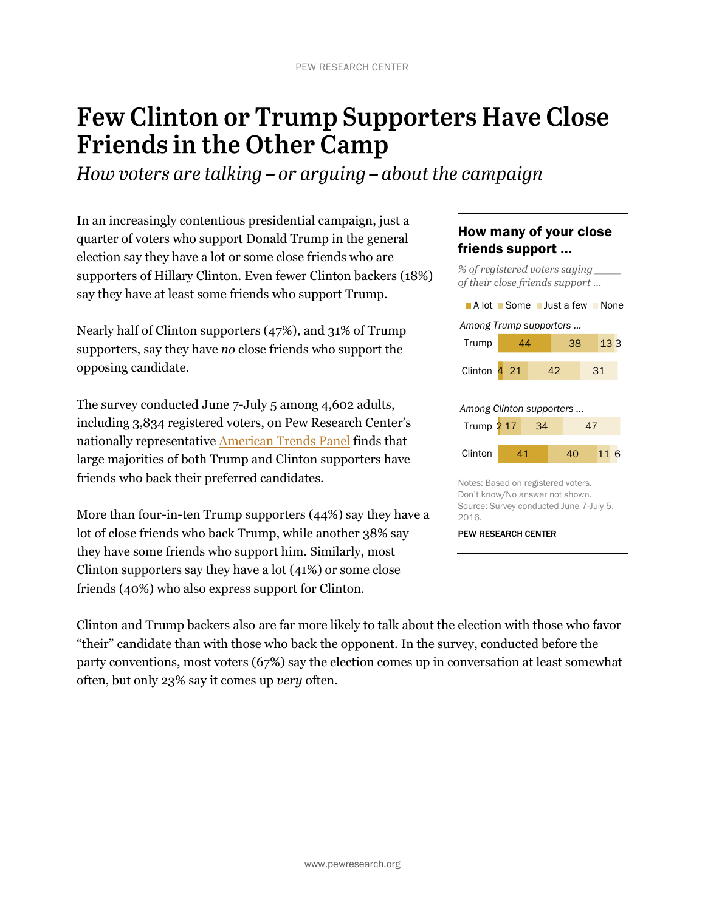# **Few Clinton or Trump Supporters Have Close Friends in the Other Camp**

How voters are talking  $-$  or arguing  $-$  about the campaign

In an increasingly contentious presidential campaign, just a quarter of voters who support Donald Trump in the general election say they have a lot or some close friends who are supporters of Hillary Clinton. Even fewer Clinton backers (18%) say they have at least some friends who support Trump.

Nearly half of Clinton supporters (47%), and 31% of Trump supporters, say they have *no* close friends who support the opposing candidate.

The survey conducted June 7-July 5 among 4,602 adults, including 3,834 registered voters, on Pew Research Center's nationally representative [American](http://www.pewresearch.org/methodology/u-s-survey-research/american-trends-panel/) Trends Panel finds that large majorities of both Trump and Clinton supporters have friends who back their preferred candidates.

More than four-in-ten Trump supporters (44%) say they have a lot of close friends who back Trump, while another 38% say they have some friends who support him. Similarly, most Clinton supporters say they have a lot (41%) or some close friends (40%) who also express support for Clinton.

### How many of your close friends support …

*% of registered voters saying \_\_\_\_* 



Don't know/No answer not shown. Source: Survey conducted June 7-July 5, 2016.

PEW RESEARCH CENTER

Clinton and Trump backers also are far more likely to talk about the election with those who favor "their" candidate than with those who back the opponent. In the survey, conducted before the party conventions, most voters (67%) say the election comes up in conversation at least somewhat often, but only 23% say it comes up *very* often.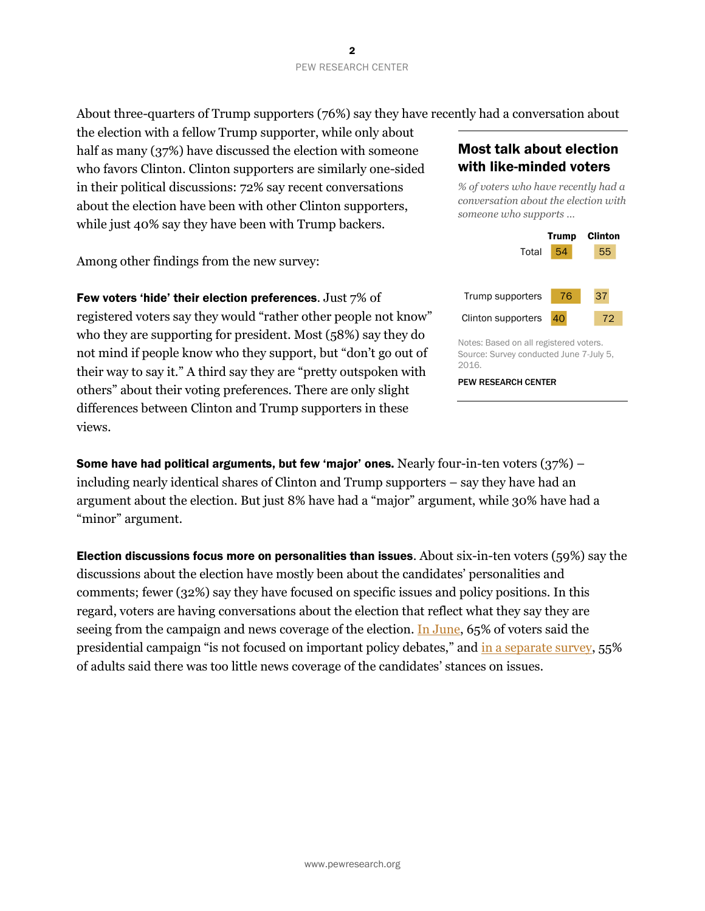About three-quarters of Trump supporters (76%) say they have recently had a conversation about

the election with a fellow Trump supporter, while only about half as many (37%) have discussed the election with someone who favors Clinton. Clinton supporters are similarly one-sided in their political discussions: 72% say recent conversations about the election have been with other Clinton supporters, while just 40% say they have been with Trump backers.

Among other findings from the new survey:

Few voters 'hide' their election preferences. Just 7% of

registered voters say they would "rather other people not know" who they are supporting for president. Most (58%) say they do not mind if people know who they support, but "don't go out of their way to say it." A third say they are "pretty outspoken with others" about their voting preferences. There are only slight differences between Clinton and Trump supporters in these views.

### Most talk about election with like-minded voters

*% of voters who have recently had a conversation about the election with someone who supports …*



Notes: Based on all registered voters. Source: Survey conducted June 7-July 5, 2016.

PEW RESEARCH CENTER

Some have had political arguments, but few 'major' ones. Nearly four-in-ten voters  $(37%)$  – including nearly identical shares of Clinton and Trump supporters – say they have had an argument about the election. But just 8% have had a "major" argument, while 30% have had a "minor" argument.

Election discussions focus more on personalities than issues. About six-in-ten voters (59%) say the discussions about the election have mostly been about the candidates' personalities and comments; fewer (32%) say they have focused on specific issues and policy positions. In this regard, voters are having conversations about the election that reflect what they say they are seeing from the campaign and news coverage of the election. [In June,](http://www.people-press.org/2016/07/07/1-campaign-engagement-and-interest/) 65% of voters said the presidential campaign "is not focused on important policy debates," and [in a separate survey,](http://www.pewresearch.org/fact-tank/2016/07/14/most-americans-already-feel-election-coverage-fatigue/) 55% of adults said there was too little news coverage of the candidates' stances on issues.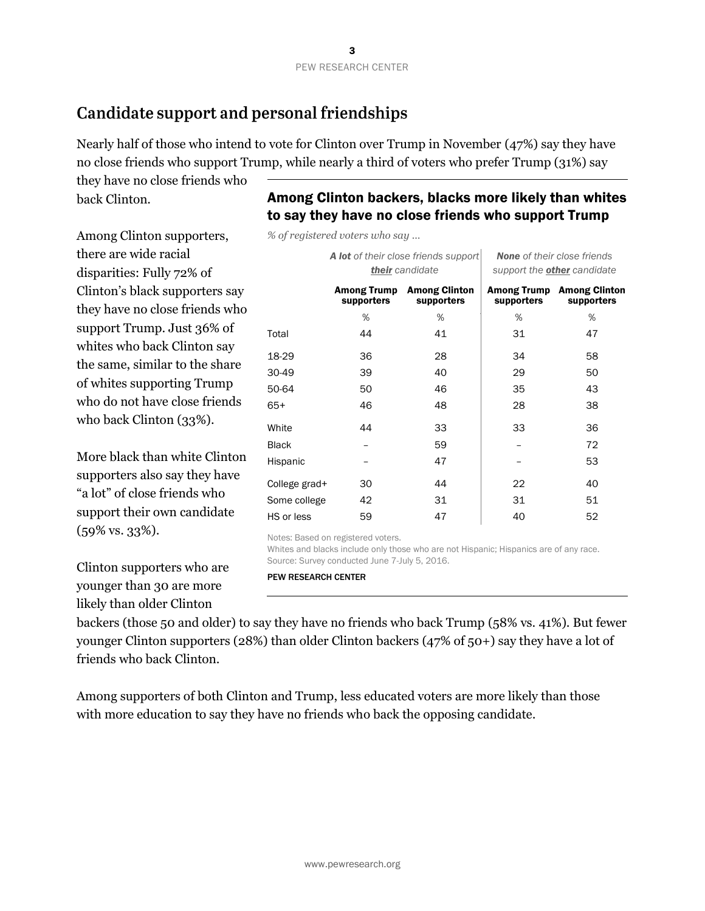# Candidate support and personal friendships

Nearly half of those who intend to vote for Clinton over Trump in November (47%) say they have no close friends who support Trump, while nearly a third of voters who prefer Trump (31%) say

*% of registered voters who say …*

they have no close friends who back Clinton.

# Among Clinton backers, blacks more likely than whites to say they have no close friends who support Trump

Among Clinton supporters, there are wide racial disparities: Fully 72% of Clinton's black supporters say they have no close friends who support Trump. Just 36% of whites who back Clinton say the same, similar to the share of whites supporting Trump who do not have close friends who back Clinton (33%).

More black than white Clinton supporters also say they have "a lot" of close friends who support their own candidate (59% vs. 33%).

Clinton supporters who are younger than 30 are more likely than older Clinton

|               |            | A lot of their close friends support<br>their candidate | <b>None</b> of their close friends<br>support the <b>other</b> candidate |                                                |  |
|---------------|------------|---------------------------------------------------------|--------------------------------------------------------------------------|------------------------------------------------|--|
|               | supporters | <b>Among Trump Among Clinton</b><br>supporters          | supporters                                                               | <b>Among Trump Among Clinton</b><br>supporters |  |
|               | %          | %                                                       | %                                                                        | %                                              |  |
| Total         | 44         | 41                                                      | 31                                                                       | 47                                             |  |
| 18-29         | 36         | 28                                                      | 34                                                                       | 58                                             |  |
| 30-49         | 39         | 40                                                      | 29                                                                       | 50                                             |  |
| 50-64         | 50         | 46                                                      | 35                                                                       | 43                                             |  |
| $65+$         | 46         | 48                                                      | 28                                                                       | 38                                             |  |
| White         | 44         | 33                                                      | 33                                                                       | 36                                             |  |
| <b>Black</b>  |            | 59                                                      |                                                                          | 72                                             |  |
| Hispanic      |            | 47                                                      |                                                                          | 53                                             |  |
| College grad+ | 30         | 44                                                      | 22                                                                       | 40                                             |  |
| Some college  | 42         | 31                                                      | 31                                                                       | 51                                             |  |
| HS or less    | 59         | 47                                                      | 40                                                                       | 52                                             |  |

Notes: Based on registered voters.

Whites and blacks include only those who are not Hispanic; Hispanics are of any race. Source: Survey conducted June 7-July 5, 2016.

PEW RESEARCH CENTER

backers (those 50 and older) to say they have no friends who back Trump (58% vs. 41%). But fewer younger Clinton supporters (28%) than older Clinton backers (47% of 50+) say they have a lot of friends who back Clinton.

Among supporters of both Clinton and Trump, less educated voters are more likely than those with more education to say they have no friends who back the opposing candidate.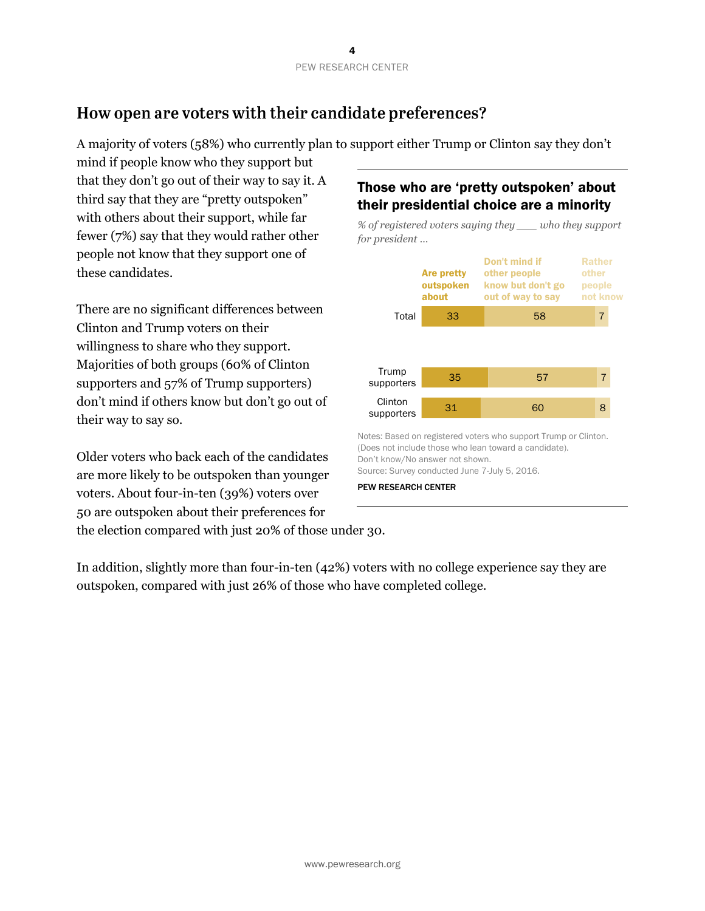# How open are voters with their candidate preferences?

A majority of voters (58%) who currently plan to support either Trump or Clinton say they don't

mind if people know who they support but that they don't go out of their way to say it. A third say that they are "pretty outspoken" with others about their support, while far fewer (7%) say that they would rather other people not know that they support one of these candidates.

There are no significant differences between Clinton and Trump voters on their willingness to share who they support. Majorities of both groups (60% of Clinton supporters and 57% of Trump supporters) don't mind if others know but don't go out of their way to say so.

Older voters who back each of the candidates are more likely to be outspoken than younger voters. About four-in-ten (39%) voters over 50 are outspoken about their preferences for the election compared with just 20% of those under 30.

## Those who are 'pretty outspoken' about their presidential choice are a minority

*% of registered voters saying they \_\_\_ who they support for president …*



Notes: Based on registered voters who support Trump or Clinton. (Does not include those who lean toward a candidate). Don't know/No answer not shown.

Source: Survey conducted June 7-July 5, 2016.

PEW RESEARCH CENTER

In addition, slightly more than four-in-ten (42%) voters with no college experience say they are outspoken, compared with just 26% of those who have completed college.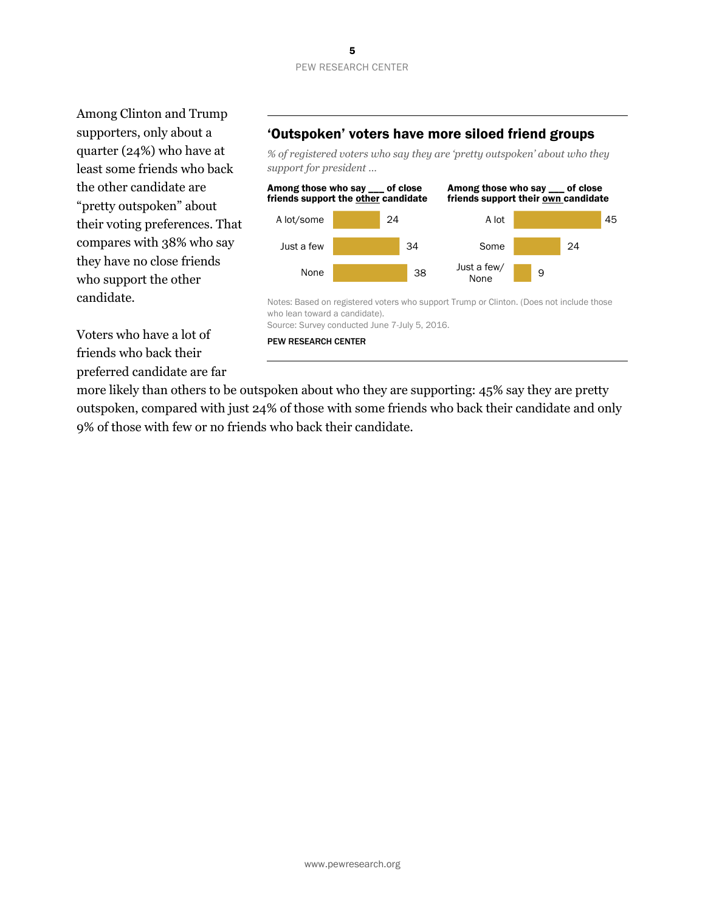Among Clinton and Trump supporters, only about a quarter (24%) who have at least some friends who back the other candidate are "pretty outspoken" about their voting preferences. That compares with 38% who say they have no close friends who support the other candidate.

### 'Outspoken' voters have more siloed friend groups

*% of registered voters who say they are 'pretty outspoken' about who they support for president …*



Voters who have a lot of friends who back their preferred candidate are far

PEW RESEARCH CENTER

more likely than others to be outspoken about who they are supporting: 45% say they are pretty outspoken, compared with just 24% of those with some friends who back their candidate and only 9% of those with few or no friends who back their candidate.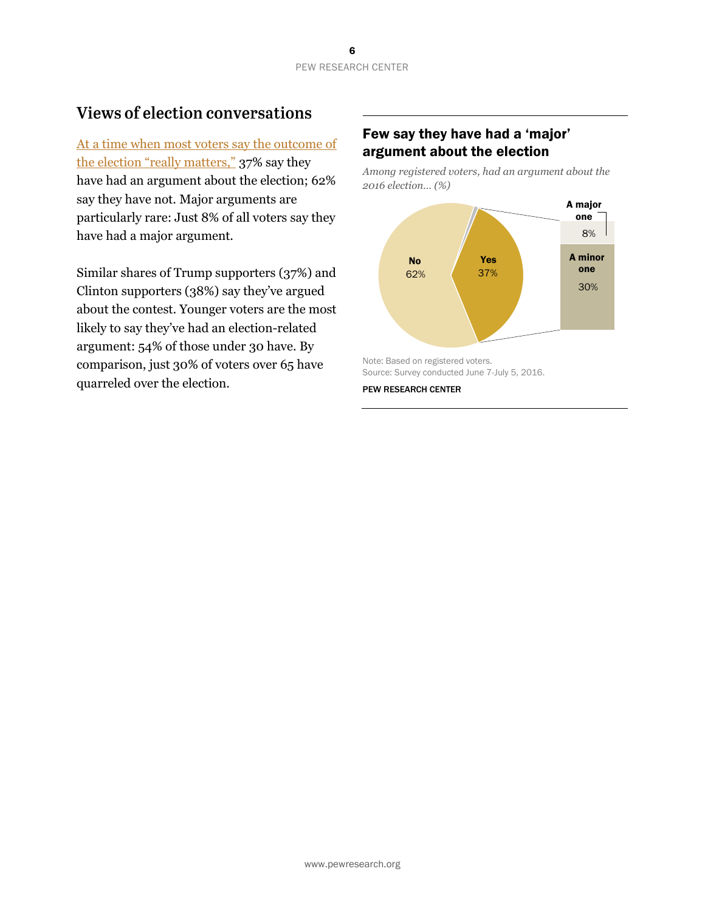# **Views of election conversations**

[At a time when most voters say the outcome of](http://www.people-press.org/2016/07/07/2016-campaign-strong-interest-widespread-dissatisfaction/)  [the election "really matters,"](http://www.people-press.org/2016/07/07/2016-campaign-strong-interest-widespread-dissatisfaction/) 37% say they have had an argument about the election; 62% say they have not. Major arguments are particularly rare: Just 8% of all voters say they have had a major argument.

Similar shares of Trump supporters (37%) and Clinton supporters (38%) say they've argued about the contest. Younger voters are the most likely to say they've had an election-related argument: 54% of those under 30 have. By comparison, just 30% of voters over 65 have quarreled over the election.

### Few say they have had a 'major' argument about the election

*Among registered voters, had an argument about the 2016 election… (%)*



#### PEW RESEARCH CENTER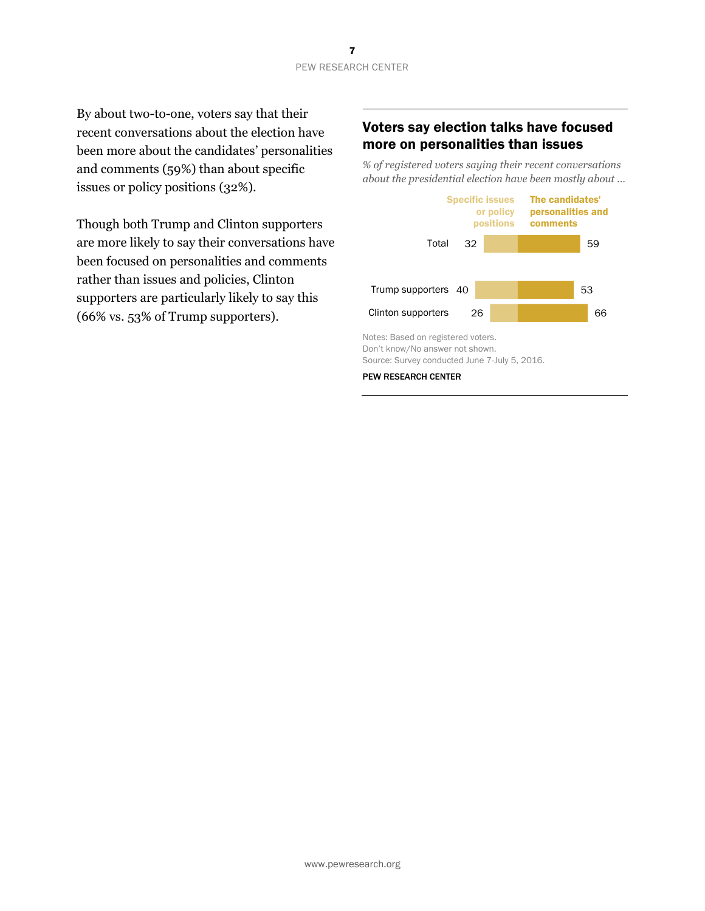By about two-to-one, voters say that their recent conversations about the election have been more about the candidates' personalities and comments (59%) than about specific issues or policy positions (32%).

Though both Trump and Clinton supporters are more likely to say their conversations have been focused on personalities and comments rather than issues and policies, Clinton supporters are particularly likely to say this (66% vs. 53% of Trump supporters).

### Voters say election talks have focused more on personalities than issues

*% of registered voters saying their recent conversations about the presidential election have been mostly about …*

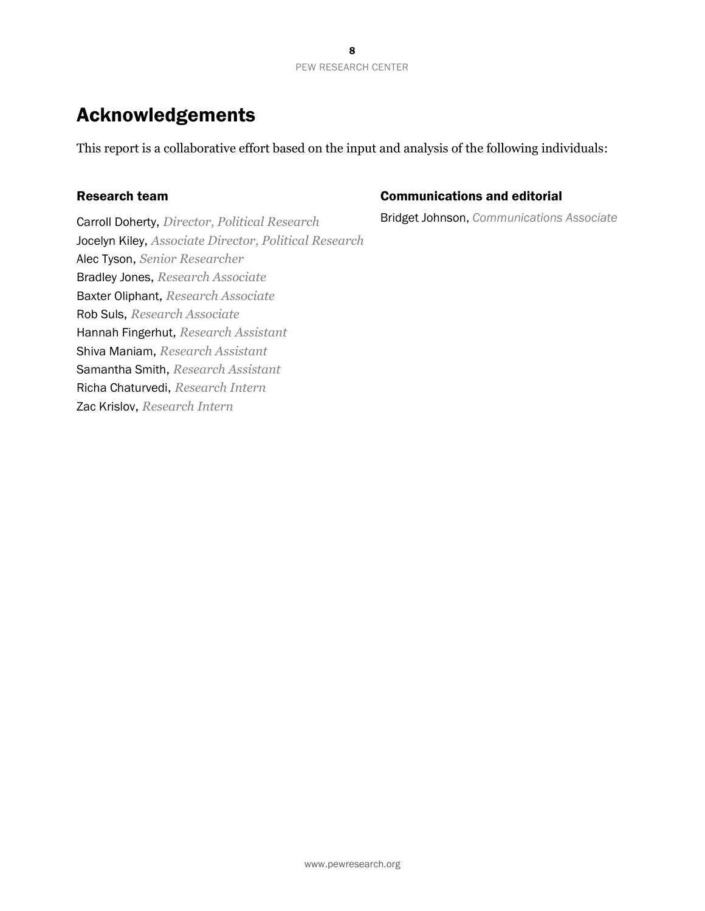# Acknowledgements

This report is a collaborative effort based on the input and analysis of the following individuals:

### Research team

Carroll Doherty, *Director, Political Research* Jocelyn Kiley, *Associate Director, Political Research* Alec Tyson, *Senior Researcher* Bradley Jones, *Research Associate* Baxter Oliphant, *Research Associate* Rob Suls, *Research Associate* Hannah Fingerhut, *Research Assistant* Shiva Maniam, *Research Assistant* Samantha Smith, *Research Assistant* Richa Chaturvedi, *Research Intern* Zac Krislov, *Research Intern*

### Communications and editorial

Bridget Johnson, *Communications Associate*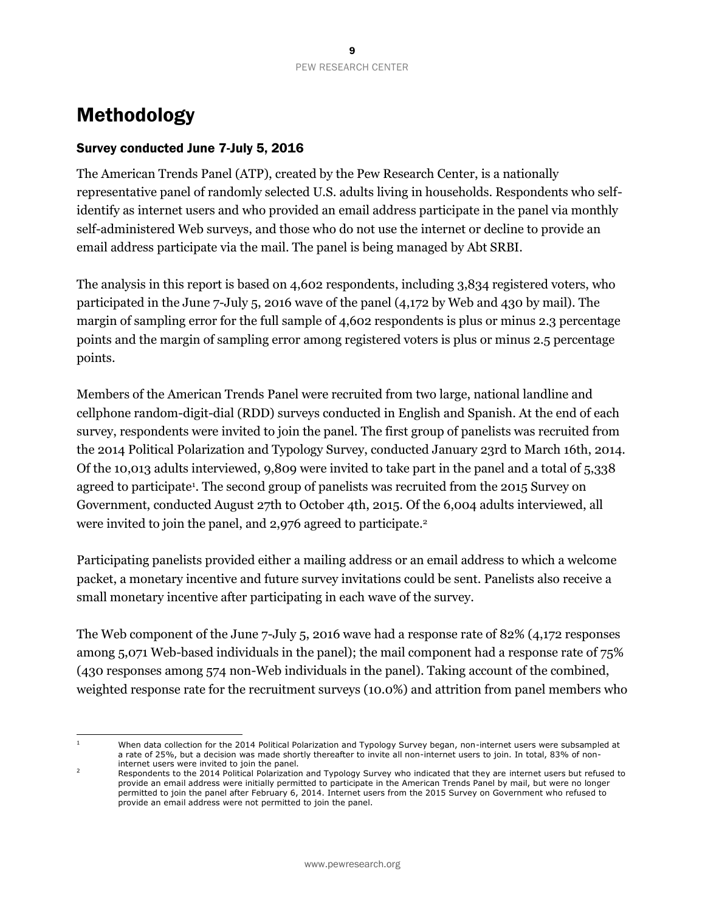# Methodology

### Survey conducted June 7-July 5, 2016

The American Trends Panel (ATP), created by the Pew Research Center, is a nationally representative panel of randomly selected U.S. adults living in households. Respondents who selfidentify as internet users and who provided an email address participate in the panel via monthly self-administered Web surveys, and those who do not use the internet or decline to provide an email address participate via the mail. The panel is being managed by Abt SRBI.

The analysis in this report is based on 4,602 respondents, including 3,834 registered voters, who participated in the June 7-July 5, 2016 wave of the panel (4,172 by Web and 430 by mail). The margin of sampling error for the full sample of 4,602 respondents is plus or minus 2.3 percentage points and the margin of sampling error among registered voters is plus or minus 2.5 percentage points.

Members of the American Trends Panel were recruited from two large, national landline and cellphone random-digit-dial (RDD) surveys conducted in English and Spanish. At the end of each survey, respondents were invited to join the panel. The first group of panelists was recruited from the 2014 Political Polarization and Typology Survey, conducted January 23rd to March 16th, 2014. Of the 10,013 adults interviewed, 9,809 were invited to take part in the panel and a total of 5,338 agreed to participate<sup>1</sup>. The second group of panelists was recruited from the 2015 Survey on Government, conducted August 27th to October 4th, 2015. Of the 6,004 adults interviewed, all were invited to join the panel, and 2,976 agreed to participate.<sup>2</sup>

Participating panelists provided either a mailing address or an email address to which a welcome packet, a monetary incentive and future survey invitations could be sent. Panelists also receive a small monetary incentive after participating in each wave of the survey.

The Web component of the June 7-July 5, 2016 wave had a response rate of 82% (4,172 responses among 5,071 Web-based individuals in the panel); the mail component had a response rate of 75% (430 responses among 574 non-Web individuals in the panel). Taking account of the combined, weighted response rate for the recruitment surveys (10.0%) and attrition from panel members who

 $\mathbf{1}$ 

<sup>1</sup> When data collection for the 2014 Political Polarization and Typology Survey began, non-internet users were subsampled at a rate of 25%, but a decision was made shortly thereafter to invite all non-internet users to join. In total, 83% of noninternet users were invited to join the panel.

<sup>2</sup> Respondents to the 2014 Political Polarization and Typology Survey who indicated that they are internet users but refused to provide an email address were initially permitted to participate in the American Trends Panel by mail, but were no longer permitted to join the panel after February 6, 2014. Internet users from the 2015 Survey on Government who refused to provide an email address were not permitted to join the panel.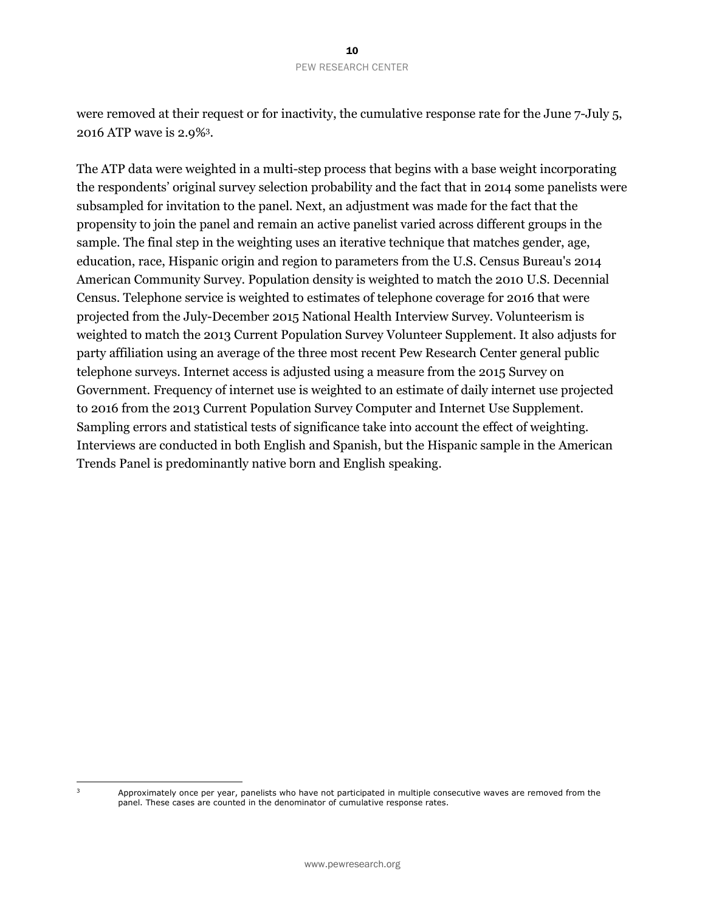were removed at their request or for inactivity, the cumulative response rate for the June 7-July 5, 2016 ATP wave is 2.9%<sup>3</sup> .

The ATP data were weighted in a multi-step process that begins with a base weight incorporating the respondents' original survey selection probability and the fact that in 2014 some panelists were subsampled for invitation to the panel. Next, an adjustment was made for the fact that the propensity to join the panel and remain an active panelist varied across different groups in the sample. The final step in the weighting uses an iterative technique that matches gender, age, education, race, Hispanic origin and region to parameters from the U.S. Census Bureau's 2014 American Community Survey. Population density is weighted to match the 2010 U.S. Decennial Census. Telephone service is weighted to estimates of telephone coverage for 2016 that were projected from the July-December 2015 National Health Interview Survey. Volunteerism is weighted to match the 2013 Current Population Survey Volunteer Supplement. It also adjusts for party affiliation using an average of the three most recent Pew Research Center general public telephone surveys. Internet access is adjusted using a measure from the 2015 Survey on Government. Frequency of internet use is weighted to an estimate of daily internet use projected to 2016 from the 2013 Current Population Survey Computer and Internet Use Supplement. Sampling errors and statistical tests of significance take into account the effect of weighting. Interviews are conducted in both English and Spanish, but the Hispanic sample in the American Trends Panel is predominantly native born and English speaking.

 $\overline{\mathbf{3}}$ 

Approximately once per year, panelists who have not participated in multiple consecutive waves are removed from the panel. These cases are counted in the denominator of cumulative response rates.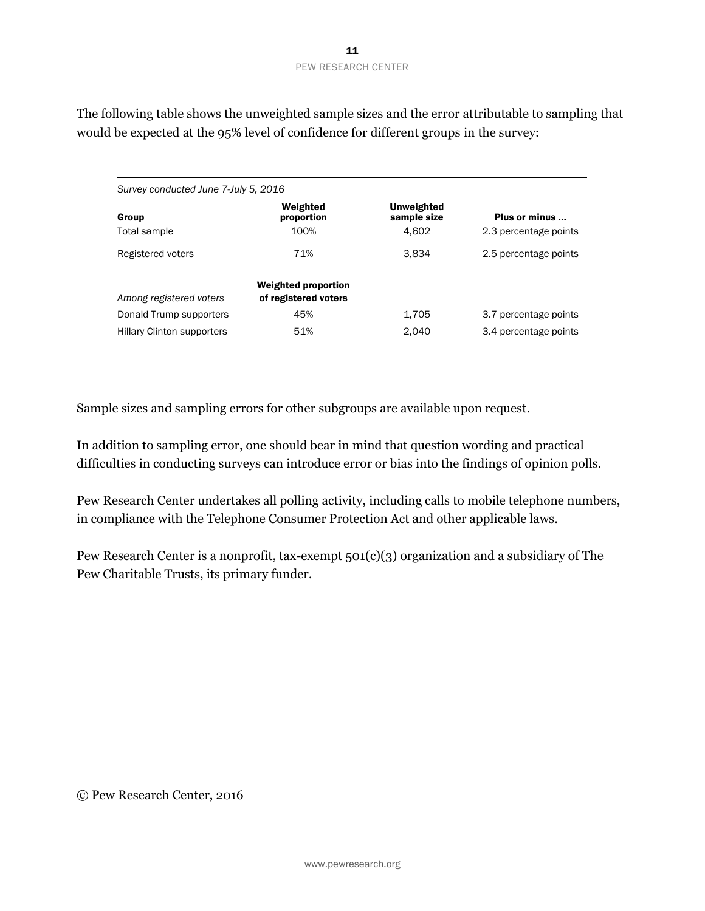*Survey conducted June 7-July 5, 2016* Group Weighted proportion Unweighted sample size Plus or minus ... Total sample 100% 100% 4,602 2.3 percentage points Registered voters **3,834** 2.5 percentage points 3,834 *Among registered voters* Weighted proportion of registered voters Donald Trump supporters  $45\%$  45%  $1,705$  3.7 percentage points

Hillary Clinton supporters 51% 2,040 3.4 percentage points

The following table shows the unweighted sample sizes and the error attributable to sampling that would be expected at the 95% level of confidence for different groups in the survey:

Sample sizes and sampling errors for other subgroups are available upon request.

In addition to sampling error, one should bear in mind that question wording and practical difficulties in conducting surveys can introduce error or bias into the findings of opinion polls.

Pew Research Center undertakes all polling activity, including calls to mobile telephone numbers, in compliance with the Telephone Consumer Protection Act and other applicable laws.

Pew Research Center is a nonprofit, tax-exempt 501(c)(3) organization and a subsidiary of The Pew Charitable Trusts, its primary funder.

© Pew Research Center, 2016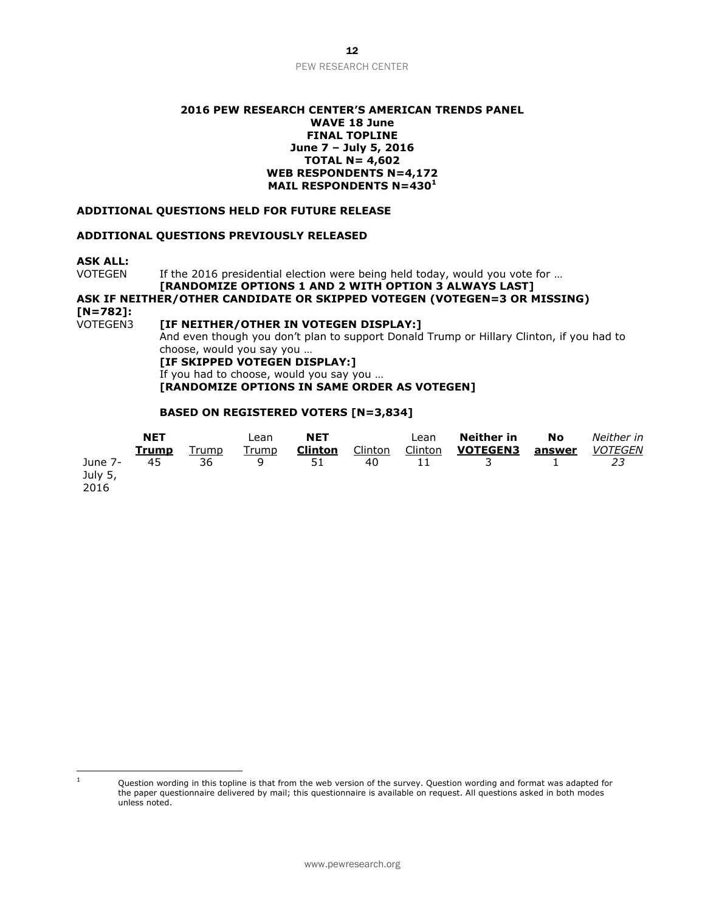#### **2016 PEW RESEARCH CENTER'S AMERICAN TRENDS PANEL WAVE 18 June FINAL TOPLINE June 7 – July 5, 2016 TOTAL N= 4,602 WEB RESPONDENTS N=4,172 MAIL RESPONDENTS N=430<sup>1</sup>**

#### **ADDITIONAL QUESTIONS HELD FOR FUTURE RELEASE**

#### **ADDITIONAL QUESTIONS PREVIOUSLY RELEASED**

**ASK ALL:**

VOTEGEN If the 2016 presidential election were being held today, would you vote for ...

### **[RANDOMIZE OPTIONS 1 AND 2 WITH OPTION 3 ALWAYS LAST] ASK IF NEITHER/OTHER CANDIDATE OR SKIPPED VOTEGEN (VOTEGEN=3 OR MISSING) [N=782]:**

[IF NEITHER/OTHER IN VOTEGEN DISPLAY:] And even though you don't plan to support Donald Trump or Hillary Clinton, if you had to choose, would you say you … **[IF SKIPPED VOTEGEN DISPLAY:]** If you had to choose, would you say you …

**[RANDOMIZE OPTIONS IN SAME ORDER AS VOTEGEN]**

#### **BASED ON REGISTERED VOTERS [N=3,834]**

|                    | <b>NET</b><br>Trump | Trump | Lean<br>Trump | <b>NET</b><br><b>Clinton</b> | Clinton | Lean<br>Clinton | Neither in<br><b>VOTEGEN3</b> | No<br>answer | Neither in<br><b>VOTEGEN</b> |
|--------------------|---------------------|-------|---------------|------------------------------|---------|-----------------|-------------------------------|--------------|------------------------------|
| June 7-<br>July 5, | 45                  | 36    | q             | 51                           | 40      | 11              |                               |              |                              |
| 2016               |                     |       |               |                              |         |                 |                               |              |                              |

 $\mathbf 1$ 

Question wording in this topline is that from the web version of the survey. Question wording and format was adapted for the paper questionnaire delivered by mail; this questionnaire is available on request. All questions asked in both modes unless noted.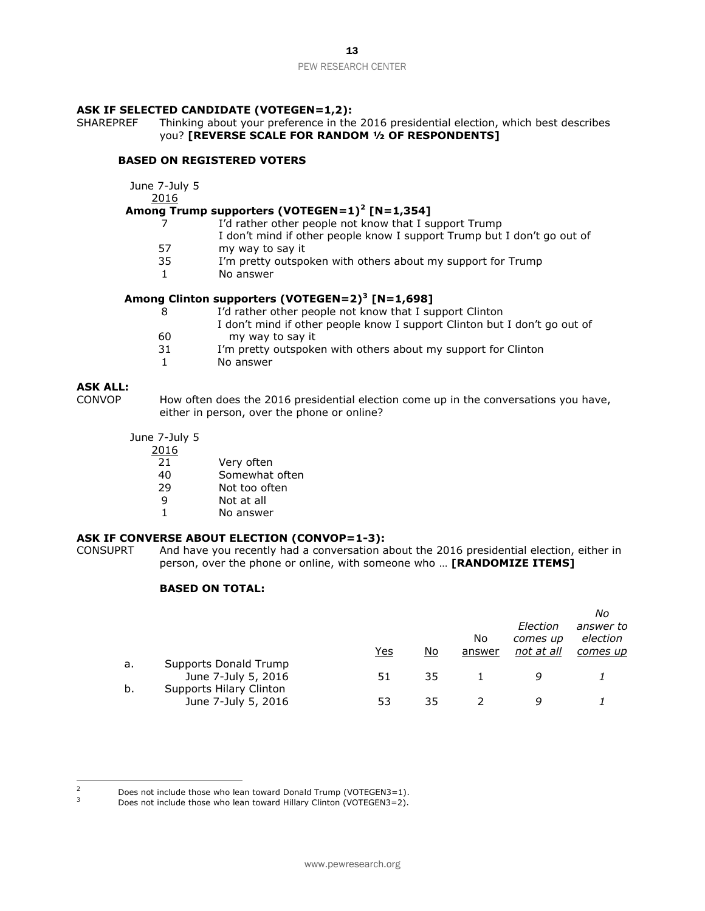#### **ASK IF SELECTED CANDIDATE (VOTEGEN=1,2):**

SHAREPREF Thinking about your preference in the 2016 presidential election, which best describes you? **[REVERSE SCALE FOR RANDOM ½ OF RESPONDENTS]**

#### **BASED ON REGISTERED VOTERS**

June 7-July 5

2016

#### **Among Trump supporters (VOTEGEN=1) 2 [N=1,354]**

- 7 I'd rather other people not know that I support Trump
	- I don't mind if other people know I support Trump but I don't go out of
- 57 my way to say it
- 35 I'm pretty outspoken with others about my support for Trump
- 1 No answer

#### **Among Clinton supporters (VOTEGEN=2)<sup>3</sup> [N=1,698]**

- 8 I'd rather other people not know that I support Clinton 60 I don't mind if other people know I support Clinton but I don't go out of my way to say it 31 I'm pretty outspoken with others about my support for Clinton
	- 1 No answer

# **ASK ALL:**

How often does the 2016 presidential election come up in the conversations you have, either in person, over the phone or online?

- June 7-July 5
	- 2016
		- 21 Very often
		- 40 Somewhat often
		- 29 Not too often
		- 9 Not at all
		- 1 No answer

#### **ASK IF CONVERSE ABOUT ELECTION (CONVOP=1-3):**

CONSUPRT And have you recently had a conversation about the 2016 presidential election, either in person, over the phone or online, with someone who … **[RANDOMIZE ITEMS]**

#### **BASED ON TOTAL:**

|    |                         |     |    |        |            | Νo        |
|----|-------------------------|-----|----|--------|------------|-----------|
|    |                         |     |    |        | Election   | answer to |
|    |                         |     |    | No     | comes up   | election  |
|    |                         | Yes | No | answer | not at all | comes up  |
| a. | Supports Donald Trump   |     |    |        |            |           |
|    | June 7-July 5, 2016     | 51  | 35 |        | q          |           |
| b. | Supports Hilary Clinton |     |    |        |            |           |
|    | June 7-July 5, 2016     | 53  | 35 |        | a          |           |

 $\overline{z}$  $\frac{2}{3}$  Does not include those who lean toward Donald Trump (VOTEGEN3=1).

Does not include those who lean toward Hillary Clinton (VOTEGEN3=2).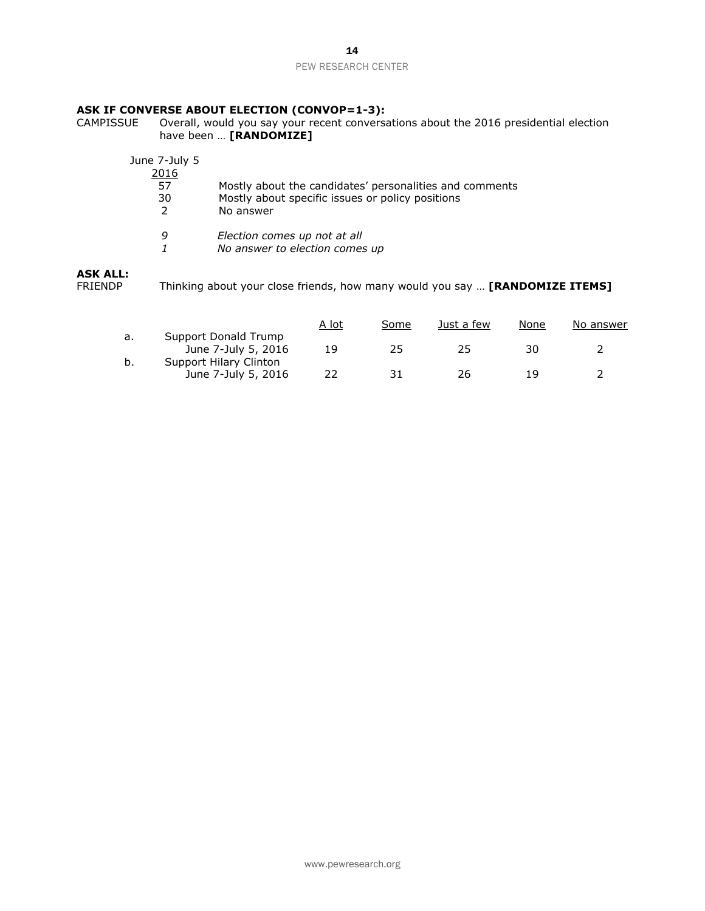# **ASK IF CONVERSE ABOUT ELECTION (CONVOP=1-3):**<br>CAMPISSUE Overall, would you say your recent conversal

CAMPISSUE Overall, would you say your recent conversations about the 2016 presidential election have been … **[RANDOMIZE]**

| Mostly about the candidates' personalities and comments |
|---------------------------------------------------------|
|                                                         |
|                                                         |
|                                                         |
|                                                         |
|                                                         |

#### **ASK ALL:**

FRIENDP Thinking about your close friends, how many would you say … **[RANDOMIZE ITEMS]**

|    |                                               | A lot | Some | Just a few | None | No answer |
|----|-----------------------------------------------|-------|------|------------|------|-----------|
| а. | Support Donald Trump<br>June 7-July 5, 2016   | 19    | 25   | 25         | 30   |           |
| b. | Support Hilary Clinton<br>June 7-July 5, 2016 | 22    | -31  | 26         | 1 Q  |           |